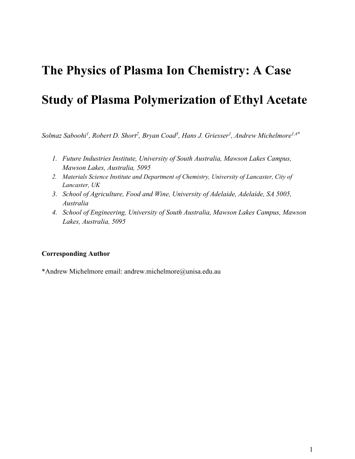# **The Physics of Plasma Ion Chemistry: A Case**

## **Study of Plasma Polymerization of Ethyl Acetate**

*Solmaz Saboohi<sup>1</sup> , Robert D. Short<sup>2</sup> , Bryan Coad3 , Hans J. Griesser<sup>1</sup> , Andrew Michelmore1,4\**

- *1. Future Industries Institute, University of South Australia, Mawson Lakes Campus, Mawson Lakes, Australia, 5095*
- *2. Materials Science Institute and Department of Chemistry, University of Lancaster, City of Lancaster, UK*
- *3. School of Agriculture, Food and Wine, University of Adelaide, Adelaide, SA 5005, Australia*
- *4. School of Engineering, University of South Australia, Mawson Lakes Campus, Mawson Lakes, Australia, 5095*

### **Corresponding Author**

\*Andrew Michelmore email: andrew.michelmore@unisa.edu.au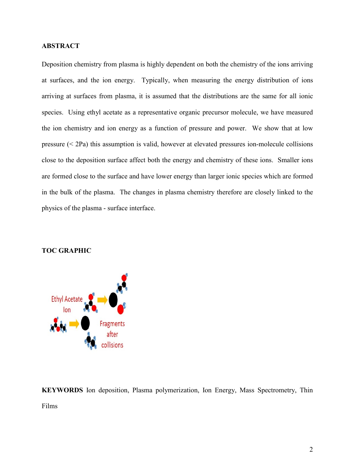#### **ABSTRACT**

Deposition chemistry from plasma is highly dependent on both the chemistry of the ions arriving at surfaces, and the ion energy. Typically, when measuring the energy distribution of ions arriving at surfaces from plasma, it is assumed that the distributions are the same for all ionic species. Using ethyl acetate as a representative organic precursor molecule, we have measured the ion chemistry and ion energy as a function of pressure and power. We show that at low pressure (< 2Pa) this assumption is valid, however at elevated pressures ion-molecule collisions close to the deposition surface affect both the energy and chemistry of these ions. Smaller ions are formed close to the surface and have lower energy than larger ionic species which are formed in the bulk of the plasma. The changes in plasma chemistry therefore are closely linked to the physics of the plasma - surface interface.

#### **TOC GRAPHIC**



**KEYWORDS** Ion deposition, Plasma polymerization, Ion Energy, Mass Spectrometry, Thin Films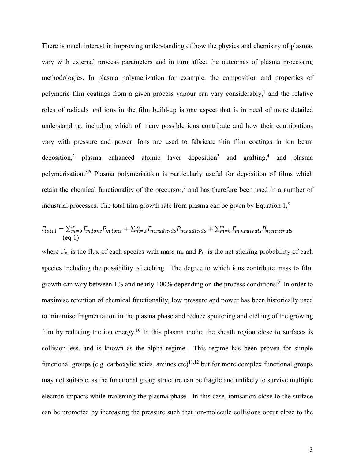There is much interest in improving understanding of how the physics and chemistry of plasmas vary with external process parameters and in turn affect the outcomes of plasma processing methodologies. In plasma polymerization for example, the composition and properties of polymeric film coatings from a given process vapour can vary considerably,<sup>1</sup> and the relative roles of radicals and ions in the film build-up is one aspect that is in need of more detailed understanding, including which of many possible ions contribute and how their contributions vary with pressure and power. Ions are used to fabricate thin film coatings in ion beam deposition,<sup>2</sup> plasma enhanced atomic layer deposition<sup>3</sup> and grafting,<sup>4</sup> and plasma polymerisation.5,6 Plasma polymerisation is particularly useful for deposition of films which retain the chemical functionality of the precursor,<sup>7</sup> and has therefore been used in a number of industrial processes. The total film growth rate from plasma can be given by Equation  $1$ ,<sup>8</sup>

$$
T_{total} = \sum_{m=0}^{\infty} T_{m,ions} P_{m,ions} + \sum_{m=0}^{\infty} T_{m,radicals} P_{m,radicals} + \sum_{m=0}^{\infty} T_{m,neutrals} P_{m,neutrals}
$$
  
(eq 1)

where  $\Gamma_m$  is the flux of each species with mass m, and  $P_m$  is the net sticking probability of each species including the possibility of etching. The degree to which ions contribute mass to film growth can vary between 1% and nearly 100% depending on the process conditions.<sup>9</sup> In order to maximise retention of chemical functionality, low pressure and power has been historically used to minimise fragmentation in the plasma phase and reduce sputtering and etching of the growing film by reducing the ion energy.<sup>10</sup> In this plasma mode, the sheath region close to surfaces is collision-less, and is known as the alpha regime. This regime has been proven for simple functional groups (e.g. carboxylic acids, amines  $etc$ )<sup>11,12</sup> but for more complex functional groups may not suitable, as the functional group structure can be fragile and unlikely to survive multiple electron impacts while traversing the plasma phase. In this case, ionisation close to the surface can be promoted by increasing the pressure such that ion-molecule collisions occur close to the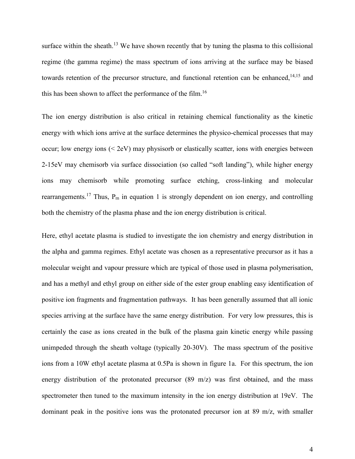surface within the sheath.<sup>13</sup> We have shown recently that by tuning the plasma to this collisional regime (the gamma regime) the mass spectrum of ions arriving at the surface may be biased towards retention of the precursor structure, and functional retention can be enhanced,  $14,15$  and this has been shown to affect the performance of the film.<sup>16</sup>

The ion energy distribution is also critical in retaining chemical functionality as the kinetic energy with which ions arrive at the surface determines the physico-chemical processes that may occur; low energy ions (< 2eV) may physisorb or elastically scatter, ions with energies between 2-15eV may chemisorb via surface dissociation (so called "soft landing"), while higher energy ions may chemisorb while promoting surface etching, cross-linking and molecular rearrangements.<sup>17</sup> Thus,  $P_m$  in equation 1 is strongly dependent on ion energy, and controlling both the chemistry of the plasma phase and the ion energy distribution is critical.

Here, ethyl acetate plasma is studied to investigate the ion chemistry and energy distribution in the alpha and gamma regimes. Ethyl acetate was chosen as a representative precursor as it has a molecular weight and vapour pressure which are typical of those used in plasma polymerisation, and has a methyl and ethyl group on either side of the ester group enabling easy identification of positive ion fragments and fragmentation pathways. It has been generally assumed that all ionic species arriving at the surface have the same energy distribution. For very low pressures, this is certainly the case as ions created in the bulk of the plasma gain kinetic energy while passing unimpeded through the sheath voltage (typically 20-30V). The mass spectrum of the positive ions from a 10W ethyl acetate plasma at 0.5Pa is shown in figure 1a. For this spectrum, the ion energy distribution of the protonated precursor  $(89 \text{ m/z})$  was first obtained, and the mass spectrometer then tuned to the maximum intensity in the ion energy distribution at 19eV. The dominant peak in the positive ions was the protonated precursor ion at 89 m/z, with smaller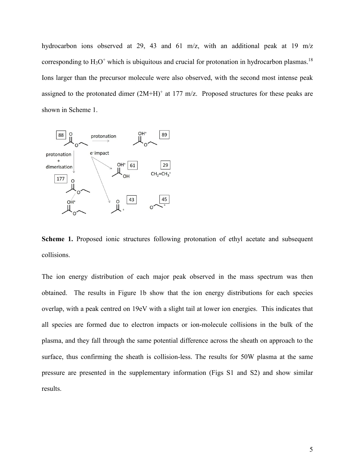hydrocarbon ions observed at 29, 43 and 61 m/z, with an additional peak at 19 m/z corresponding to  $H_3O^+$  which is ubiquitous and crucial for protonation in hydrocarbon plasmas.<sup>18</sup> Ions larger than the precursor molecule were also observed, with the second most intense peak assigned to the protonated dimer  $(2M+H)^+$  at 177 m/z. Proposed structures for these peaks are shown in Scheme 1.



**Scheme 1.** Proposed ionic structures following protonation of ethyl acetate and subsequent collisions.

The ion energy distribution of each major peak observed in the mass spectrum was then obtained. The results in Figure 1b show that the ion energy distributions for each species overlap, with a peak centred on 19eV with a slight tail at lower ion energies. This indicates that all species are formed due to electron impacts or ion-molecule collisions in the bulk of the plasma, and they fall through the same potential difference across the sheath on approach to the surface, thus confirming the sheath is collision-less. The results for 50W plasma at the same pressure are presented in the supplementary information (Figs S1 and S2) and show similar results.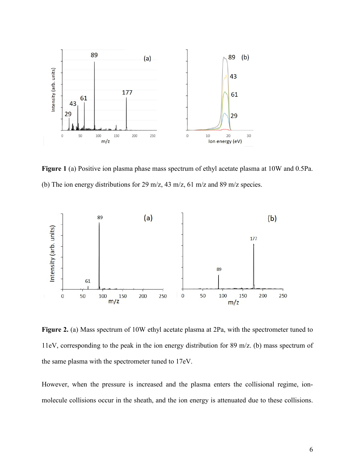

**Figure 1** (a) Positive ion plasma phase mass spectrum of ethyl acetate plasma at 10W and 0.5Pa. (b) The ion energy distributions for 29 m/z, 43 m/z, 61 m/z and 89 m/z species.



**Figure 2.** (a) Mass spectrum of 10W ethyl acetate plasma at 2Pa, with the spectrometer tuned to 11eV, corresponding to the peak in the ion energy distribution for 89 m/z. (b) mass spectrum of the same plasma with the spectrometer tuned to 17eV.

However, when the pressure is increased and the plasma enters the collisional regime, ionmolecule collisions occur in the sheath, and the ion energy is attenuated due to these collisions.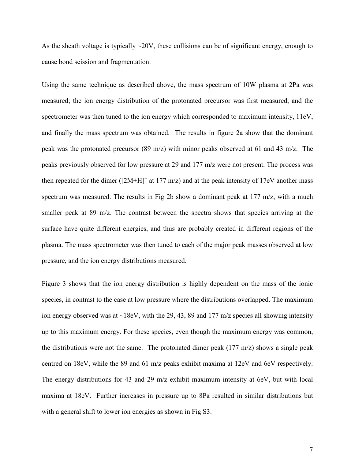As the sheath voltage is typically  $\sim$ 20V, these collisions can be of significant energy, enough to cause bond scission and fragmentation.

Using the same technique as described above, the mass spectrum of 10W plasma at 2Pa was measured; the ion energy distribution of the protonated precursor was first measured, and the spectrometer was then tuned to the ion energy which corresponded to maximum intensity, 11eV, and finally the mass spectrum was obtained. The results in figure 2a show that the dominant peak was the protonated precursor (89 m/z) with minor peaks observed at 61 and 43 m/z. The peaks previously observed for low pressure at 29 and 177 m/z were not present. The process was then repeated for the dimer ( $[2M+H]^+$  at 177 m/z) and at the peak intensity of 17eV another mass spectrum was measured. The results in Fig 2b show a dominant peak at 177 m/z, with a much smaller peak at 89 m/z. The contrast between the spectra shows that species arriving at the surface have quite different energies, and thus are probably created in different regions of the plasma. The mass spectrometer was then tuned to each of the major peak masses observed at low pressure, and the ion energy distributions measured.

Figure 3 shows that the ion energy distribution is highly dependent on the mass of the ionic species, in contrast to the case at low pressure where the distributions overlapped. The maximum ion energy observed was at  $\sim$ 18eV, with the 29, 43, 89 and 177 m/z species all showing intensity up to this maximum energy. For these species, even though the maximum energy was common, the distributions were not the same. The protonated dimer peak  $(177 \text{ m/z})$  shows a single peak centred on 18eV, while the 89 and 61 m/z peaks exhibit maxima at 12eV and 6eV respectively. The energy distributions for 43 and 29 m/z exhibit maximum intensity at 6eV, but with local maxima at 18eV. Further increases in pressure up to 8Pa resulted in similar distributions but with a general shift to lower ion energies as shown in Fig S3.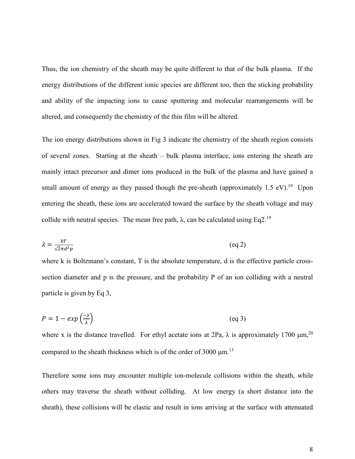Thus, the ion chemistry of the sheath may be quite different to that of the bulk plasma. If the energy distributions of the different ionic species are different too, then the sticking probability and ability of the impacting ions to cause sputtering and molecular rearrangements will be altered, and consequently the chemistry of the thin film will be altered.

The ion energy distributions shown in Fig 3 indicate the chemistry of the sheath region consists of several zones. Starting at the sheath – bulk plasma interface, ions entering the sheath are mainly intact precursor and dimer ions produced in the bulk of the plasma and have gained a small amount of energy as they passed though the pre-sheath (approximately  $1.5 \text{ eV}$ ).<sup>19</sup> Upon entering the sheath, these ions are accelerated toward the surface by the sheath voltage and may collide with neutral species. The mean free path,  $\lambda$ , can be calculated using Eq2.<sup>19</sup>

$$
\lambda = \frac{kT}{\sqrt{2}\pi d^2 p} \tag{eq 2}
$$

where k is Boltzmann's constant, T is the absolute temperature, d is the effective particle crosssection diameter and p is the pressure, and the probability P of an ion colliding with a neutral particle is given by Eq 3,

$$
P = 1 - exp\left(\frac{-x}{\lambda}\right) \tag{eq 3}
$$

where x is the distance travelled. For ethyl acetate ions at 2Pa,  $\lambda$  is approximately 1700  $\mu$ m,<sup>20</sup> compared to the sheath thickness which is of the order of 3000  $\mu$ m.<sup>13</sup>

Therefore some ions may encounter multiple ion-molecule collisions within the sheath, while others may traverse the sheath without colliding. At low energy (a short distance into the sheath), these collisions will be elastic and result in ions arriving at the surface with attenuated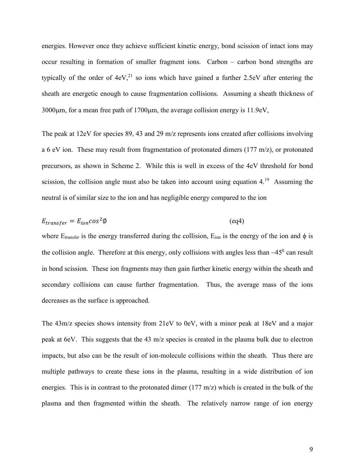energies. However once they achieve sufficient kinetic energy, bond scission of intact ions may occur resulting in formation of smaller fragment ions. Carbon – carbon bond strengths are typically of the order of  $4eV<sub>1</sub><sup>21</sup>$  so ions which have gained a further 2.5eV after entering the sheath are energetic enough to cause fragmentation collisions. Assuming a sheath thickness of 3000µm, for a mean free path of 1700µm, the average collision energy is 11.9eV,

The peak at 12eV for species 89, 43 and 29 m/z represents ions created after collisions involving a 6 eV ion. These may result from fragmentation of protonated dimers  $(177 \text{ m/z})$ , or protonated precursors, as shown in Scheme 2. While this is well in excess of the 4eV threshold for bond scission, the collision angle must also be taken into account using equation 4.<sup>19</sup> Assuming the neutral is of similar size to the ion and has negligible energy compared to the ion

$$
E_{transfer} = E_{ion} \cos^2 \phi \tag{eq4}
$$

where  $E_{\text{transfer}}$  is the energy transferred during the collision,  $E_{\text{ion}}$  is the energy of the ion and  $\phi$  is the collision angle. Therefore at this energy, only collisions with angles less than  $\sim$ 45<sup>0</sup> can result in bond scission. These ion fragments may then gain further kinetic energy within the sheath and secondary collisions can cause further fragmentation. Thus, the average mass of the ions decreases as the surface is approached.

The 43m/z species shows intensity from 21eV to 0eV, with a minor peak at 18eV and a major peak at 6eV. This suggests that the 43 m/z species is created in the plasma bulk due to electron impacts, but also can be the result of ion-molecule collisions within the sheath. Thus there are multiple pathways to create these ions in the plasma, resulting in a wide distribution of ion energies. This is in contrast to the protonated dimer  $(177 \text{ m/z})$  which is created in the bulk of the plasma and then fragmented within the sheath. The relatively narrow range of ion energy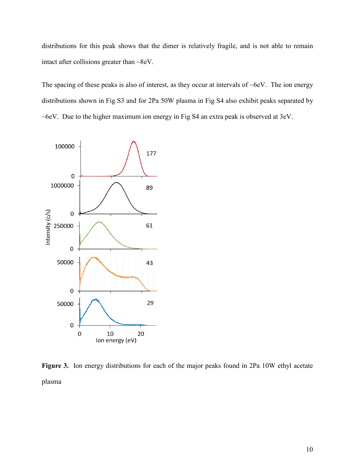distributions for this peak shows that the dimer is relatively fragile, and is not able to remain intact after collisions greater than ~8eV.

The spacing of these peaks is also of interest, as they occur at intervals of  $\sim$ 6eV. The ion energy distributions shown in Fig S3 and for 2Pa 50W plasma in Fig S4 also exhibit peaks separated by ~6eV. Due to the higher maximum ion energy in Fig S4 an extra peak is observed at 3eV.



**Figure 3.** Ion energy distributions for each of the major peaks found in 2Pa 10W ethyl acetate plasma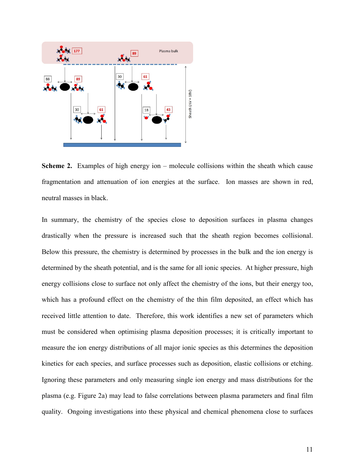

**Scheme 2.** Examples of high energy ion – molecule collisions within the sheath which cause fragmentation and attenuation of ion energies at the surface. Ion masses are shown in red, neutral masses in black.

In summary, the chemistry of the species close to deposition surfaces in plasma changes drastically when the pressure is increased such that the sheath region becomes collisional. Below this pressure, the chemistry is determined by processes in the bulk and the ion energy is determined by the sheath potential, and is the same for all ionic species. At higher pressure, high energy collisions close to surface not only affect the chemistry of the ions, but their energy too, which has a profound effect on the chemistry of the thin film deposited, an effect which has received little attention to date. Therefore, this work identifies a new set of parameters which must be considered when optimising plasma deposition processes; it is critically important to measure the ion energy distributions of all major ionic species as this determines the deposition kinetics for each species, and surface processes such as deposition, elastic collisions or etching. Ignoring these parameters and only measuring single ion energy and mass distributions for the plasma (e.g. Figure 2a) may lead to false correlations between plasma parameters and final film quality. Ongoing investigations into these physical and chemical phenomena close to surfaces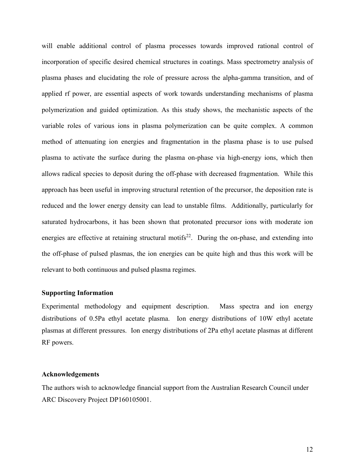will enable additional control of plasma processes towards improved rational control of incorporation of specific desired chemical structures in coatings. Mass spectrometry analysis of plasma phases and elucidating the role of pressure across the alpha-gamma transition, and of applied rf power, are essential aspects of work towards understanding mechanisms of plasma polymerization and guided optimization. As this study shows, the mechanistic aspects of the variable roles of various ions in plasma polymerization can be quite complex. A common method of attenuating ion energies and fragmentation in the plasma phase is to use pulsed plasma to activate the surface during the plasma on-phase via high-energy ions, which then allows radical species to deposit during the off-phase with decreased fragmentation. While this approach has been useful in improving structural retention of the precursor, the deposition rate is reduced and the lower energy density can lead to unstable films. Additionally, particularly for saturated hydrocarbons, it has been shown that protonated precursor ions with moderate ion energies are effective at retaining structural motifs<sup>22</sup>. During the on-phase, and extending into the off-phase of pulsed plasmas, the ion energies can be quite high and thus this work will be relevant to both continuous and pulsed plasma regimes.

#### **Supporting Information**

Experimental methodology and equipment description. Mass spectra and ion energy distributions of 0.5Pa ethyl acetate plasma. Ion energy distributions of 10W ethyl acetate plasmas at different pressures. Ion energy distributions of 2Pa ethyl acetate plasmas at different RF powers.

#### **Acknowledgements**

The authors wish to acknowledge financial support from the Australian Research Council under ARC Discovery Project DP160105001.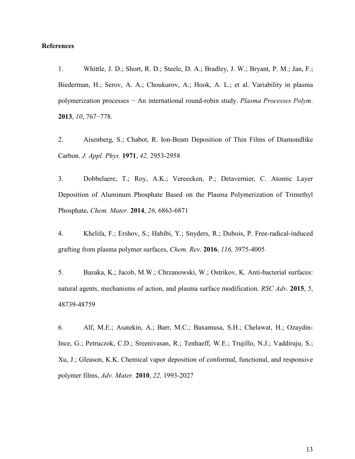#### **References**

1. Whittle, J. D.; Short, R. D.; Steele, D. A.; Bradley, J. W.; Bryant, P. M.; Jan, F.; Biederman, H.; Serov, A. A.; Choukurov, A.; Hook, A. L.; et al. Variability in plasma polymerization processes − An international round-robin study. *Plasma Processes Polym*. **2013**, *10*, 767−778.

2. Aisenberg, S.; Chabot, R. Ion-Beam Deposition of Thin Films of Diamondlike Carbon. *J. Appl. Phys.* **1971**, *42,* 2953-2958

3. Dobbelaere, T.; Roy, A.K.; Vereecken, P.; Detavernier, C. Atomic Layer Deposition of Aluminum Phosphate Based on the Plasma Polymerization of Trimethyl Phosphate**.** *Chem. Mater*. **2014**, *26*, 6863-6871

4. Khelifa, F.; Ershov, S.; Habibi, Y.; Snyders, R.; Dubois, P. [Free-radical-induced](javascript:void(0))  [grafting from plasma polymer surfaces,](javascript:void(0)) *Chem. Rev*. **2016**, *116,* 3975-4005

5. Bazaka, K.; Jacob, M.W.; Chrzanowski, W.; Ostrikov, K. [Anti-bacterial surfaces:](javascript:void(0))  [natural agents, mechanisms of action, and plasma surface modification.](javascript:void(0)) *RSC Adv*. **2015**, *5*, 48739-48759

6. Alf, M.E.; Asatekin, A.; Barr, M.C.; Baxamusa, S.H.; Chelawat, H.; Ozaydin‐ Ince, G.; Petruczok, C.D.; Sreenivasan, R.; Tenhaeff, W.E.; Trujillo, N.J.; Vaddiraju, S.; Xu, J.; Gleason, K.K. [Chemical vapor deposition of conformal, functional, and responsive](javascript:void(0))  [polymer films,](javascript:void(0)) *Adv. Mater.* **2010**, *22,* 1993-2027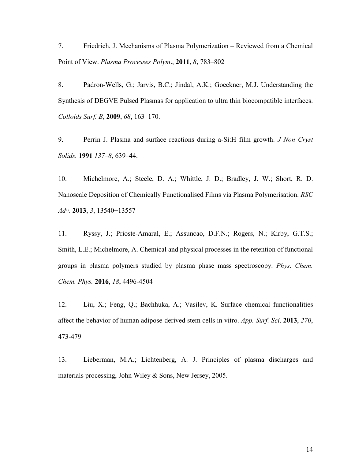7. Friedrich, J. Mechanisms of Plasma Polymerization – Reviewed from a Chemical Point of View. *Plasma Processes Polym*., **2011**, *8*, 783–802

8. Padron-Wells, G.; Jarvis, B.C.; Jindal, A.K.; Goeckner, M.J. Understanding the Synthesis of DEGVE Pulsed Plasmas for application to ultra thin biocompatible interfaces. *Colloids Surf. B*, **2009**, *68*, 163–170.

9. Perrin J. Plasma and surface reactions during a-Si:H film growth. *J Non Cryst Solids.* **1991** *137–8*, 639–44.

10. Michelmore, A.; Steele, D. A.; Whittle, J. D.; Bradley, J. W.; Short, R. D. Nanoscale Deposition of Chemically Functionalised Films via Plasma Polymerisation. *RSC Adv*. **2013**, *3*, 13540−13557

11. Ryssy, J.; Prioste-Amaral, E.; Assuncao, D.F.N.; Rogers, N.; Kirby, G.T.S.; Smith, L.E.; Michelmore, A. Chemical and physical processes in the retention of functional groups in plasma polymers studied by plasma phase mass spectroscopy. *Phys. Chem. Chem. Phys.* **2016**, *18*, 4496-4504

12. Liu, X.; Feng, Q.; Bachhuka, A.; Vasilev, K. [Surface chemical functionalities](javascript:void(0))  [affect the behavior of human adipose-derived stem cells in vitro.](javascript:void(0)) *App. Surf. Sci*. **2013**, *270*, 473-479

13. Lieberman, M.A.; Lichtenberg, A. J. Principles of plasma discharges and materials processing, John Wiley & Sons, New Jersey, 2005.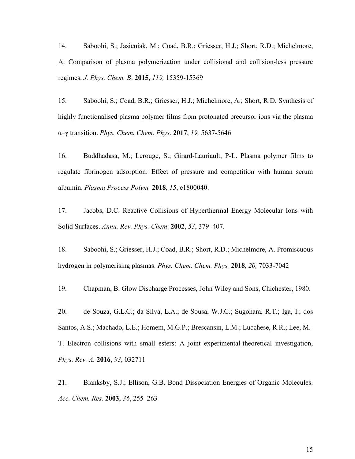14. Saboohi, S.; Jasieniak, M.; Coad, B.R.; Griesser, H.J.; Short, R.D.; Michelmore, A. [Comparison of plasma polymerization under collisional and collision-less pressure](javascript:void(0))  [regimes.](javascript:void(0)) *J. Phys. Chem. B*. **2015**, *119,* 15359-15369

15. Saboohi, S.; Coad, B.R.; Griesser, H.J.; Michelmore, A.; Short, R.D. [Synthesis of](javascript:void(0))  [highly functionalised plasma polymer films from protonated precursor ions via the plasma](javascript:void(0))  α–γ tran[sition.](javascript:void(0)) *Phys. Chem. Chem. Phys.* **2017**, *19,* 5637-5646

16. Buddhadasa, M.; Lerouge, S.; Girard-Lauriault, P-L. Plasma polymer films to regulate fibrinogen adsorption: Effect of pressure and competition with human serum albumin. *Plasma Process Polym.* **2018**, *15*, e1800040.

17. Jacobs, D.C. Reactive Collisions of Hyperthermal Energy Molecular Ions with Solid Surfaces. *Annu. Rev. Phys. Chem*. **2002**, *53*, 379–407.

18. Saboohi, S.; Griesser, H.J.; Coad, B.R.; Short, R.D.; Michelmore, A. [Promiscuous](javascript:void(0))  [hydrogen in polymerising plasmas.](javascript:void(0)) *Phys. Chem. Chem. Phys.* **2018**, *20,* 7033-7042

19. Chapman, B. Glow Discharge Processes, John Wiley and Sons, Chichester, 1980.

20. de Souza, G.L.C.; da Silva, L.A.; de Sousa, W.J.C.; Sugohara, R.T.; Iga, I.; dos Santos, A.S.; Machado, L.E.; Homem, M.G.P.; Brescansin, L.M.; Lucchese, R.R.; Lee, M.- T. Electron collisions with small esters: A joint experimental-theoretical investigation, *Phys. Rev. A.* **2016**, *93*, 032711

21. Blanksby, S.J.; Ellison, G.B. Bond Dissociation Energies of Organic Molecules. *Acc. Chem. Res.* **2003**, *36*, 255–263